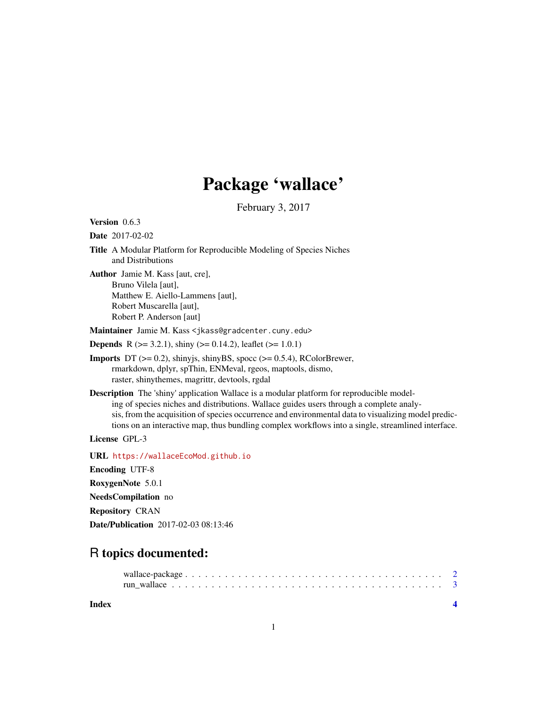## Package 'wallace'

February 3, 2017

Version 0.6.3

Date 2017-02-02

Title A Modular Platform for Reproducible Modeling of Species Niches and Distributions

Author Jamie M. Kass [aut, cre], Bruno Vilela [aut], Matthew E. Aiello-Lammens [aut], Robert Muscarella [aut], Robert P. Anderson [aut]

Maintainer Jamie M. Kass <jkass@gradcenter.cuny.edu>

**Depends** R ( $>= 3.2.1$ ), shiny ( $>= 0.14.2$ ), leaflet ( $>= 1.0.1$ )

**Imports** DT  $(>= 0.2)$ , shinyjs, shinyBS, spocc  $(>= 0.5.4)$ , RColorBrewer, rmarkdown, dplyr, spThin, ENMeval, rgeos, maptools, dismo, raster, shinythemes, magrittr, devtools, rgdal

Description The 'shiny' application Wallace is a modular platform for reproducible modeling of species niches and distributions. Wallace guides users through a complete analysis, from the acquisition of species occurrence and environmental data to visualizing model predictions on an interactive map, thus bundling complex workflows into a single, streamlined interface.

License GPL-3

URL <https://wallaceEcoMod.github.io>

Encoding UTF-8

RoxygenNote 5.0.1

NeedsCompilation no

Repository CRAN

Date/Publication 2017-02-03 08:13:46

### R topics documented:

**Index** [4](#page-3-0)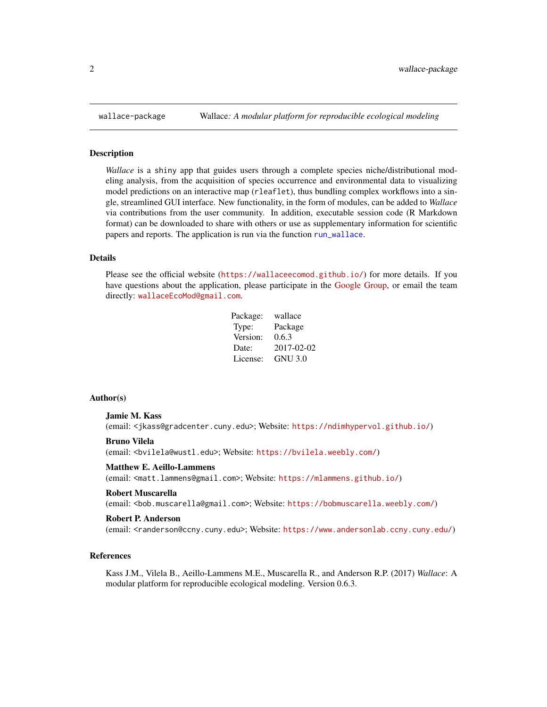#### Description

*Wallace* is a shiny app that guides users through a complete species niche/distributional modeling analysis, from the acquisition of species occurrence and environmental data to visualizing model predictions on an interactive map (rleaflet), thus bundling complex workflows into a single, streamlined GUI interface. New functionality, in the form of modules, can be added to *Wallace* via contributions from the user community. In addition, executable session code (R Markdown format) can be downloaded to share with others or use as supplementary information for scientific papers and reports. The application is run via the function [run\\_wallace](#page-2-1).

#### Details

Please see the official website (<https://wallaceecomod.github.io/>) for more details. If you have questions about the application, please participate in the [Google Group,](https://groups.google.com/forum/#!forum/wallaceecomod) or email the team directly: <wallaceEcoMod@gmail.com>.

| Package: | wallace    |
|----------|------------|
| Type:    | Package    |
| Version: | 0.6.3      |
| Date:    | 2017-02-02 |
| License: | GNU 3.0    |

#### Author(s)

#### Jamie M. Kass

(email: <jkass@gradcenter.cuny.edu>; Website: <https://ndimhypervol.github.io/>)

#### Bruno Vilela

(email: <bvilela@wustl.edu>; Website: <https://bvilela.weebly.com/>)

#### Matthew E. Aeillo-Lammens

(email: <matt.lammens@gmail.com>; Website: <https://mlammens.github.io/>)

#### Robert Muscarella

(email: <bob.muscarella@gmail.com>; Website: <https://bobmuscarella.weebly.com/>)

#### Robert P. Anderson

(email: <randerson@ccny.cuny.edu>; Website: <https://www.andersonlab.ccny.cuny.edu/>)

#### References

Kass J.M., Vilela B., Aeillo-Lammens M.E., Muscarella R., and Anderson R.P. (2017) *Wallace*: A modular platform for reproducible ecological modeling. Version 0.6.3.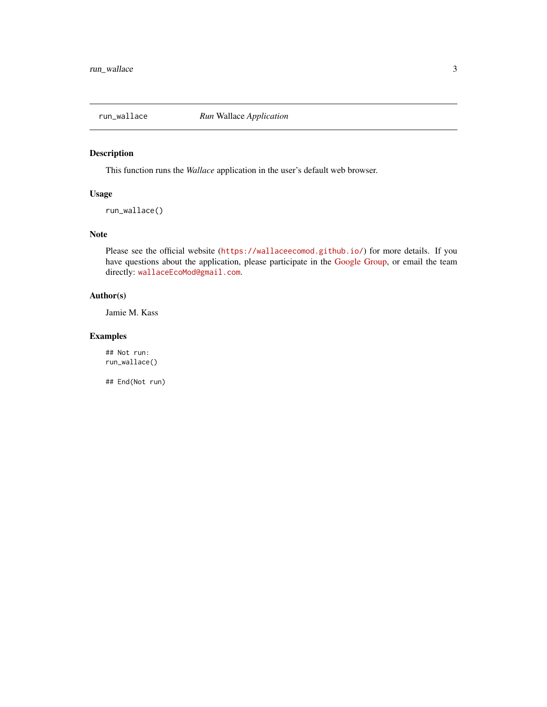<span id="page-2-1"></span><span id="page-2-0"></span>

#### Description

This function runs the *Wallace* application in the user's default web browser.

#### Usage

```
run_wallace()
```
#### Note

Please see the official website (<https://wallaceecomod.github.io/>) for more details. If you have questions about the application, please participate in the [Google Group,](https://groups.google.com/forum/#!forum/wallaceecomod) or email the team directly: <wallaceEcoMod@gmail.com>.

#### Author(s)

Jamie M. Kass

#### Examples

## Not run: run\_wallace()

## End(Not run)